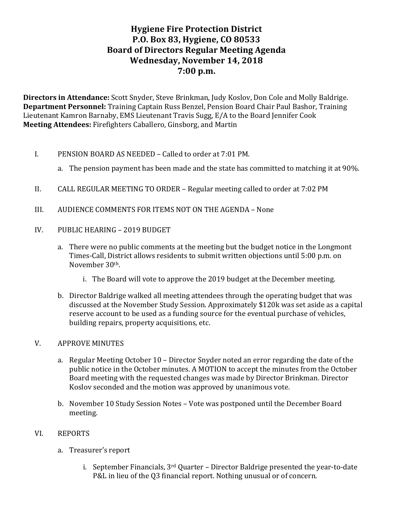# **Hygiene Fire Protection District P.O. Box 83, Hygiene, CO 80533 Board of Directors Regular Meeting Agenda Wednesday, November 14, 2018 7:00 p.m.**

**Directors in Attendance:** Scott Snyder, Steve Brinkman, Judy Koslov, Don Cole and Molly Baldrige. **Department Personnel:** Training Captain Russ Benzel, Pension Board Chair Paul Bashor, Training Lieutenant Kamron Barnaby, EMS Lieutenant Travis Sugg, E/A to the Board Jennifer Cook **Meeting Attendees:** Firefighters Caballero, Ginsborg, and Martin

- I. PENSION BOARD AS NEEDED Called to order at 7:01 PM.
	- a. The pension payment has been made and the state has committed to matching it at 90%.
- II. CALL REGULAR MEETING TO ORDER Regular meeting called to order at 7:02 PM
- III. AUDIENCE COMMENTS FOR ITEMS NOT ON THE AGENDA None
- IV. PUBLIC HEARING 2019 BUDGET
	- a. There were no public comments at the meeting but the budget notice in the Longmont Times-Call, District allows residents to submit written objections until 5:00 p.m. on November 30<sup>th</sup>.
		- i. The Board will vote to approve the 2019 budget at the December meeting.
	- b. Director Baldrige walked all meeting attendees through the operating budget that was discussed at the November Study Session. Approximately \$120k was set aside as a capital reserve account to be used as a funding source for the eventual purchase of vehicles, building repairs, property acquisitions, etc.

#### V. APPROVE MINUTES

- a. Regular Meeting October 10 Director Snyder noted an error regarding the date of the public notice in the October minutes. A MOTION to accept the minutes from the October Board meeting with the requested changes was made by Director Brinkman. Director Koslov seconded and the motion was approved by unanimous vote.
- b. November 10 Study Session Notes Vote was postponed until the December Board meeting.

#### VI. REPORTS

- a. Treasurer's report
	- i. September Financials,  $3<sup>rd</sup>$  Quarter Director Baldrige presented the year-to-date P&L in lieu of the Q3 financial report. Nothing unusual or of concern.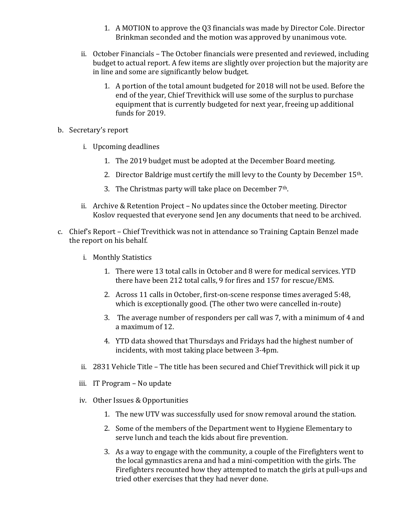- 1. A MOTION to approve the Q3 financials was made by Director Cole. Director Brinkman seconded and the motion was approved by unanimous vote.
- ii. October Financials The October financials were presented and reviewed, including budget to actual report. A few items are slightly over projection but the majority are in line and some are significantly below budget.
	- 1. A portion of the total amount budgeted for 2018 will not be used. Before the end of the year, Chief Trevithick will use some of the surplus to purchase equipment that is currently budgeted for next year, freeing up additional funds for 2019.
- b. Secretary's report
	- i. Upcoming deadlines
		- 1. The 2019 budget must be adopted at the December Board meeting.
		- 2. Director Baldrige must certify the mill levy to the County by December 15<sup>th</sup>.
		- 3. The Christmas party will take place on December  $7<sup>th</sup>$ .
	- ii. Archive & Retention Project No updates since the October meeting. Director Koslov requested that everyone send Jen any documents that need to be archived.
- c. Chief's Report Chief Trevithick was not in attendance so Training Captain Benzel made the report on his behalf.
	- i. Monthly Statistics
		- 1. There were 13 total calls in October and 8 were for medical services. YTD there have been 212 total calls, 9 for fires and 157 for rescue/EMS.
		- 2. Across 11 calls in October, first-on-scene response times averaged 5:48, which is exceptionally good. (The other two were cancelled in-route)
		- 3. The average number of responders per call was 7, with a minimum of 4 and a maximum of 12.
		- 4. YTD data showed that Thursdays and Fridays had the highest number of incidents, with most taking place between 3-4pm.
	- ii. 2831 Vehicle Title The title has been secured and Chief Trevithick will pick it up
	- iii. IT Program No update
	- iv. Other Issues & Opportunities
		- 1. The new UTV was successfully used for snow removal around the station.
		- 2. Some of the members of the Department went to Hygiene Elementary to serve lunch and teach the kids about fire prevention.
		- 3. As a way to engage with the community, a couple of the Firefighters went to the local gymnastics arena and had a mini-competition with the girls. The Firefighters recounted how they attempted to match the girls at pull-ups and tried other exercises that they had never done.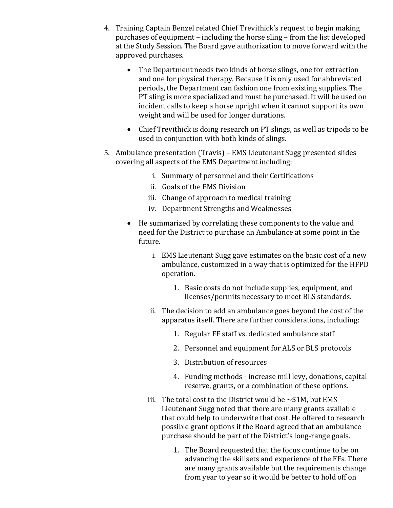- 4. Training Captain Benzel related Chief Trevithick's request to begin making purchases of equipment – including the horse sling – from the list developed at the Study Session. The Board gave authorization to move forward with the approved purchases.
	- The Department needs two kinds of horse slings, one for extraction and one for physical therapy. Because it is only used for abbreviated periods, the Department can fashion one from existing supplies. The PT sling is more specialized and must be purchased. It will be used on incident calls to keep a horse upright when it cannot support its own weight and will be used for longer durations.
	- Chief Trevithick is doing research on PT slings, as well as tripods to be used in conjunction with both kinds of slings.
- 5. Ambulance presentation (Travis) EMS Lieutenant Sugg presented slides covering all aspects of the EMS Department including:
	- i. Summary of personnel and their Certifications
	- ii. Goals of the EMS Division
	- iii. Change of approach to medical training
	- iv. Department Strengths and Weaknesses
	- $\bullet$  He summarized by correlating these components to the value and need for the District to purchase an Ambulance at some point in the future.
		- i. EMS Lieutenant Sugg gave estimates on the basic cost of a new ambulance, customized in a way that is optimized for the HFPD operation.
			- 1. Basic costs do not include supplies, equipment, and licenses/permits necessary to meet BLS standards.
		- ii. The decision to add an ambulance goes beyond the cost of the apparatus itself. There are further considerations, including:
			- 1. Regular FF staff vs. dedicated ambulance staff
			- 2. Personnel and equipment for ALS or BLS protocols
			- 3. Distribution of resources
			- 4. Funding methods increase mill levy, donations, capital reserve, grants, or a combination of these options.
		- iii. The total cost to the District would be  $\sim $1$ M, but EMS Lieutenant Sugg noted that there are many grants available that could help to underwrite that cost. He offered to research possible grant options if the Board agreed that an ambulance purchase should be part of the District's long-range goals.
			- 1. The Board requested that the focus continue to be on advancing the skillsets and experience of the FFs. There are many grants available but the requirements change from year to year so it would be better to hold off on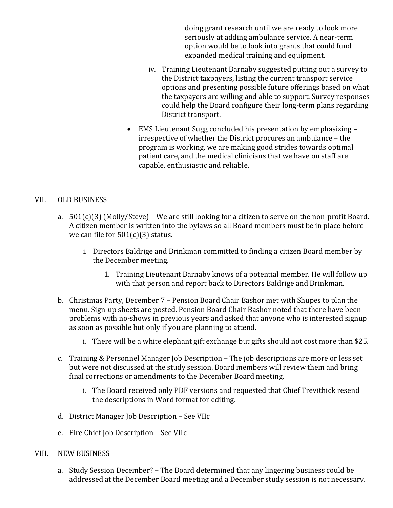doing grant research until we are ready to look more seriously at adding ambulance service. A near-term option would be to look into grants that could fund expanded medical training and equipment.

- iv. Training Lieutenant Barnaby suggested putting out a survey to the District taxpayers, listing the current transport service options and presenting possible future offerings based on what the taxpayers are willing and able to support. Survey responses could help the Board configure their long-term plans regarding District transport.
- EMS Lieutenant Sugg concluded his presentation by emphasizing irrespective of whether the District procures an ambulance – the program is working, we are making good strides towards optimal patient care, and the medical clinicians that we have on staff are capable, enthusiastic and reliable.

#### VII. OLD BUSINESS

- a.  $501(c)(3)$  (Molly/Steve) We are still looking for a citizen to serve on the non-profit Board. A citizen member is written into the bylaws so all Board members must be in place before we can file for  $501(c)(3)$  status.
	- i. Directors Baldrige and Brinkman committed to finding a citizen Board member by the December meeting.
		- 1. Training Lieutenant Barnaby knows of a potential member. He will follow up with that person and report back to Directors Baldrige and Brinkman.
- b. Christmas Party, December 7 Pension Board Chair Bashor met with Shupes to plan the menu. Sign-up sheets are posted. Pension Board Chair Bashor noted that there have been problems with no-shows in previous years and asked that anyone who is interested signup as soon as possible but only if you are planning to attend.
	- i. There will be a white elephant gift exchange but gifts should not cost more than \$25.
- c. Training & Personnel Manager Job Description The job descriptions are more or less set but were not discussed at the study session. Board members will review them and bring final corrections or amendments to the December Board meeting.
	- i. The Board received only PDF versions and requested that Chief Trevithick resend the descriptions in Word format for editing.
- d. District Manager Job Description See VIIc
- e. Fire Chief Job Description See VIIc
- VIII. NEW BUSINESS
	- a. Study Session December? The Board determined that any lingering business could be addressed at the December Board meeting and a December study session is not necessary.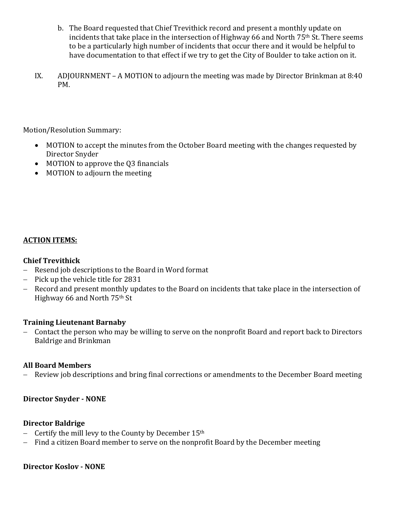- b. The Board requested that Chief Trevithick record and present a monthly update on incidents that take place in the intersection of Highway 66 and North 75<sup>th</sup> St. There seems to be a particularly high number of incidents that occur there and it would be helpful to have documentation to that effect if we try to get the City of Boulder to take action on it.
- IX. ADJOURNMENT A MOTION to adjourn the meeting was made by Director Brinkman at 8:40 PM.

Motion/Resolution Summary:

- MOTION to accept the minutes from the October Board meeting with the changes requested by Director Snyder
- MOTION to approve the Q3 financials
- MOTION to adjourn the meeting

### **ACTION ITEMS:**

### **Chief Trevithick**

- $-$  Resend job descriptions to the Board in Word format
- $-$  Pick up the vehicle title for 2831
- Record and present monthly updates to the Board on incidents that take place in the intersection of Highway 66 and North 75<sup>th</sup> St

### **Training Lieutenant Barnaby**

- Contact the person who may be willing to serve on the nonprofit Board and report back to Directors Baldrige and Brinkman

### **All Board Members**

- Review job descriptions and bring final corrections or amendments to the December Board meeting

### **Director Snyder - NONE**

#### **Director Baldrige**

- Certify the mill levy to the County by December  $15<sup>th</sup>$
- Find a citizen Board member to serve on the nonprofit Board by the December meeting

#### **Director Koslov - NONE**